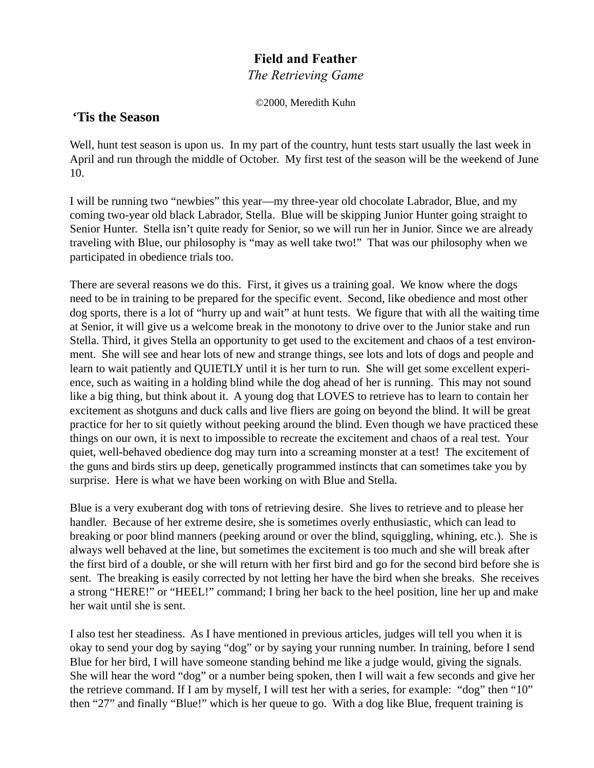## **Field and Feather**

*The Retrieving Game*

©2000, Meredith Kuhn

## **'Tis the Season**

Well, hunt test season is upon us. In my part of the country, hunt tests start usually the last week in April and run through the middle of October. My first test of the season will be the weekend of June 10.

I will be running two "newbies" this year—my three-year old chocolate Labrador, Blue, and my coming two-year old black Labrador, Stella. Blue will be skipping Junior Hunter going straight to Senior Hunter. Stella isn't quite ready for Senior, so we will run her in Junior. Since we are already traveling with Blue, our philosophy is "may as well take two!" That was our philosophy when we participated in obedience trials too.

There are several reasons we do this. First, it gives us a training goal. We know where the dogs need to be in training to be prepared for the specific event. Second, like obedience and most other dog sports, there is a lot of "hurry up and wait" at hunt tests. We figure that with all the waiting time at Senior, it will give us a welcome break in the monotony to drive over to the Junior stake and run Stella. Third, it gives Stella an opportunity to get used to the excitement and chaos of a test environment. She will see and hear lots of new and strange things, see lots and lots of dogs and people and learn to wait patiently and QUIETLY until it is her turn to run. She will get some excellent experience, such as waiting in a holding blind while the dog ahead of her is running. This may not sound like a big thing, but think about it. A young dog that LOVES to retrieve has to learn to contain her excitement as shotguns and duck calls and live fliers are going on beyond the blind. It will be great practice for her to sit quietly without peeking around the blind. Even though we have practiced these things on our own, it is next to impossible to recreate the excitement and chaos of a real test. Your quiet, well-behaved obedience dog may turn into a screaming monster at a test! The excitement of the guns and birds stirs up deep, genetically programmed instincts that can sometimes take you by surprise. Here is what we have been working on with Blue and Stella.

Blue is a very exuberant dog with tons of retrieving desire. She lives to retrieve and to please her handler. Because of her extreme desire, she is sometimes overly enthusiastic, which can lead to breaking or poor blind manners (peeking around or over the blind, squiggling, whining, etc.). She is always well behaved at the line, but sometimes the excitement is too much and she will break after the first bird of a double, or she will return with her first bird and go for the second bird before she is sent. The breaking is easily corrected by not letting her have the bird when she breaks. She receives a strong "HERE!" or "HEEL!" command; I bring her back to the heel position, line her up and make her wait until she is sent.

I also test her steadiness. As I have mentioned in previous articles, judges will tell you when it is okay to send your dog by saying "dog" or by saying your running number. In training, before I send Blue for her bird, I will have someone standing behind me like a judge would, giving the signals. She will hear the word "dog" or a number being spoken, then I will wait a few seconds and give her the retrieve command. If I am by myself, I will test her with a series, for example: "dog" then "10" then "27" and finally "Blue!" which is her queue to go. With a dog like Blue, frequent training is